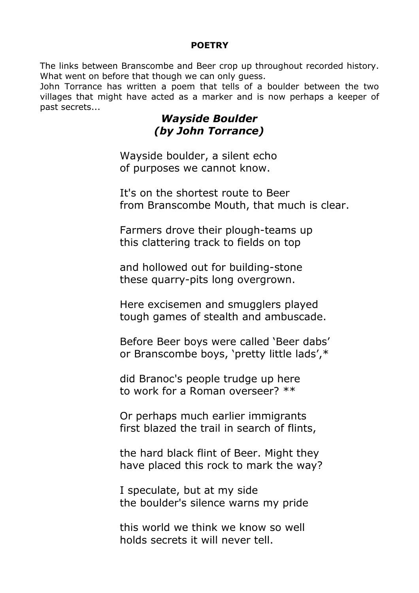## **POETRY**

The links between Branscombe and Beer crop up throughout recorded history. What went on before that though we can only guess.

John Torrance has written a poem that tells of a boulder between the two villages that might have acted as a marker and is now perhaps a keeper of past secrets...

## *Wayside Boulder (by John Torrance)*

Wayside boulder, a silent echo of purposes we cannot know.

It's on the shortest route to Beer from Branscombe Mouth, that much is clear.

Farmers drove their plough-teams up this clattering track to fields on top

and hollowed out for building-stone these quarry-pits long overgrown.

Here excisemen and smugglers played tough games of stealth and ambuscade.

Before Beer boys were called 'Beer dabs' or Branscombe boys, 'pretty little lads',\*

did Branoc's people trudge up here to work for a Roman overseer? \*\*

Or perhaps much earlier immigrants first blazed the trail in search of flints,

the hard black flint of Beer. Might they have placed this rock to mark the way?

I speculate, but at my side the boulder's silence warns my pride

this world we think we know so well holds secrets it will never tell.